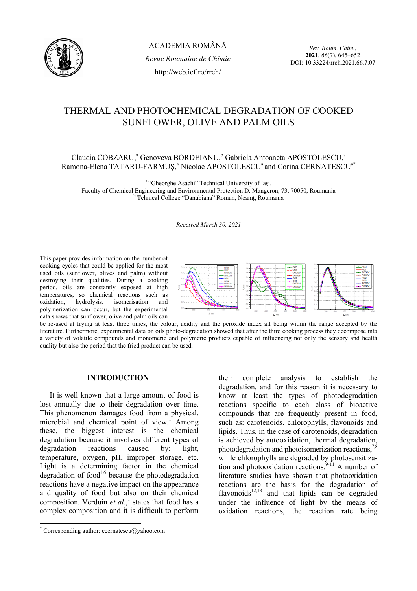

*Rev. Roum. Chim.*, **2021**, *66*(7), 645–652 DOI: 10.33224/rrch.2021.66.7.07

# THERMAL AND PHOTOCHEMICAL DEGRADATION OF COOKED SUNFLOWER, OLIVE AND PALM OILS

Claudia COBZARU,<sup>a</sup> Genoveva BORDEIANU,<sup>b</sup> Gabriela Antoaneta APOSTOLESCU,<sup>a</sup> Ramona-Elena TATARU-FARMUŞ,<sup>a</sup> Nicolae APOSTOLESCU<sup>a</sup> and Corina CERNATESCU<sup>a\*</sup>

<sup>a "</sup>Gheorghe Asachi" Technical University of Iasi, Faculty of Chemical Engineering and Environmental Protection D. Mangeron, 73, 70050, Roumania b Tehnical College "Danubiana" Roman, Neamţ, Roumania

*Received March 30, 2021* 

This paper provides information on the number of cooking cycles that could be applied for the most used oils (sunflower, olives and palm) without destroying their qualities. During a cooking period, oils are constantly exposed at high temperatures, so chemical reactions such as oxidation, hydrolysis, isomerisation and polymerization can occur, but the experimental data shows that sunflower, olive and palm oils can



be re-used at frying at least three times, the colour, acidity and the peroxide index all being within the range accepted by the literature. Furthermore, experimental data on oils photo-degradation showed that after the third cooking process they decompose into a variety of volatile compounds and monomeric and polymeric products capable of influencing not only the sensory and health quality but also the period that the fried product can be used.

## **INTRODUCTION\***

 It is well known that a large amount of food is lost annually due to their degradation over time. This phenomenon damages food from a physical, microbial and chemical point of view.<sup>1</sup> Among these, the biggest interest is the chemical degradation because it involves different types of degradation reactions caused by: light, temperature, oxygen, pH, improper storage, etc. Light is a determining factor in the chemical degradation of  $food<sup>1,6</sup>$  because the photodegradation reactions have a negative impact on the appearance and quality of food but also on their chemical composition. Verduin *et al.*,<sup>1</sup> states that food has a complex composition and it is difficult to perform

their complete analysis to establish the degradation, and for this reason it is necessary to know at least the types of photodegradation reactions specific to each class of bioactive compounds that are frequently present in food, such as: carotenoids, chlorophylls, flavonoids and lipids. Thus, in the case of carotenoids, degradation is achieved by autooxidation, thermal degradation, photodegradation and photoisomerization reactions, $\overline{5}$ while chlorophylls are degraded by photosensitization and photooxidation reactions.<sup>9-11</sup> A number of literature studies have shown that photooxidation reactions are the basis for the degradation of flavonoids $12,13$  and that lipids can be degraded under the influence of light by the means of oxidation reactions, the reaction rate being

 \* Corresponding author: ccernatescu@yahoo.com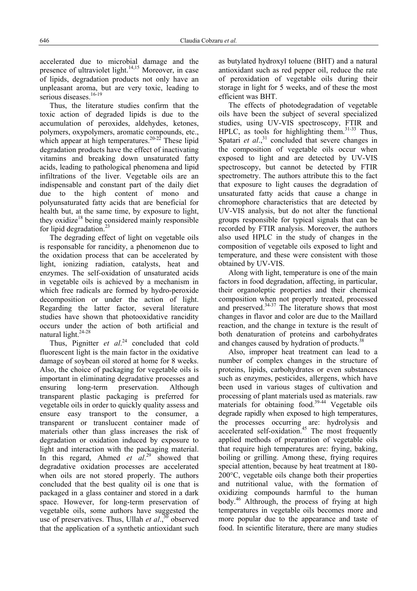accelerated due to microbial damage and the presence of ultraviolet light.<sup>14,15</sup> Moreover, in case of lipids, degradation products not only have an unpleasant aroma, but are very toxic, leading to serious diseases.<sup>16-19</sup>

 Thus, the literature studies confirm that the toxic action of degraded lipids is due to the accumulation of peroxides, aldehydes, ketones, polymers, oxypolymers, aromatic compounds, etc., which appear at high temperatures.<sup>20-22</sup> These lipid degradation products have the effect of inactivating vitamins and breaking down unsaturated fatty acids, leading to pathological phenomena and lipid infiltrations of the liver. Vegetable oils are an indispensable and constant part of the daily diet due to the high content of mono and polyunsaturated fatty acids that are beneficial for health but, at the same time, by exposure to light, they oxidize<sup>18</sup> being considered mainly responsible for lipid degradation.<sup>23</sup>

 The degrading effect of light on vegetable oils is responsable for rancidity, a phenomenon due to the oxidation process that can be accelerated by light, ionizing radiation, catalysts, heat and enzymes. The self-oxidation of unsaturated acids in vegetable oils is achieved by a mechanism in which free radicals are formed by hydro-peroxide decomposition or under the action of light. Regarding the latter factor, several literature studies have shown that photooxidative rancidity occurs under the action of both artificial and natural light.<sup>24-28</sup>

 Thus, Pignitter *et al*. 24 concluded that cold fluorescent light is the main factor in the oxidative damage of soybean oil stored at home for 8 weeks. Also, the choice of packaging for vegetable oils is important in eliminating degradative processes and ensuring long-term preservation. Although transparent plastic packaging is preferred for vegetable oils in order to quickly quality assess and ensure easy transport to the consumer, a transparent or translucent container made of materials other than glass increases the risk of degradation or oxidation induced by exposure to light and interaction with the packaging material. In this regard, Ahmed *et al*. 29 showed that degradative oxidation processes are accelerated when oils are not stored properly. The authors concluded that the best quality oil is one that is packaged in a glass container and stored in a dark space. However, for long-term preservation of vegetable oils, some authors have suggested the use of preservatives. Thus, Ullah *et al.*, $30$  observed that the application of a synthetic antioxidant such

as butylated hydroxyl toluene (BHT) and a natural antioxidant such as red pepper oil, reduce the rate of peroxidation of vegetable oils during their storage in light for 5 weeks, and of these the most efficient was BHT.

 The effects of photodegradation of vegetable oils have been the subject of several specialized studies, using UV-VIS spectroscopy, FTIR and HPLC, as tools for highlighting them. $31-33$  Thus, Spatari *et al.*, $31$  concluded that severe changes in the composition of vegetable oils occur when exposed to light and are detected by UV-VIS spectroscopy, but cannot be detected by FTIR spectrometry. The authors attribute this to the fact that exposure to light causes the degradation of unsaturated fatty acids that cause a change in chromophore characteristics that are detected by UV-VIS analysis, but do not alter the functional groups responsible for typical signals that can be recorded by FTIR analysis. Moreover, the authors also used HPLC in the study of changes in the composition of vegetable oils exposed to light and temperature, and these were consistent with those obtained by UV-VIS.

 Along with light, temperature is one of the main factors in food degradation, affecting, in particular, their organoleptic properties and their chemical composition when not properly treated, processed and preserved. $34-37$  The literature shows that most changes in flavor and color are due to the Maillard reaction, and the change in texture is the result of both denaturation of proteins and carbohydrates and changes caused by hydration of products.<sup>38</sup>

 Also, improper heat treatment can lead to a number of complex changes in the structure of proteins, lipids, carbohydrates or even substances such as enzymes, pesticides, allergens, which have been used in various stages of cultivation and processing of plant materials used as materials. raw materials for obtaining food.<sup>39-44</sup> Vegetable oils degrade rapidly when exposed to high temperatures, the processes occurring are: hydrolysis and accelerated self-oxidation.<sup>45</sup> The most frequently applied methods of preparation of vegetable oils that require high temperatures are: frying, baking, boiling or grilling. Among these, frying requires special attention, because by heat treatment at 180- 200°C, vegetable oils change both their properties and nutritional value, with the formation of oxidizing compounds harmful to the human body.46 Althrough, the process of frying at high temperatures in vegetable oils becomes more and more popular due to the appearance and taste of food. In scientific literature, there are many studies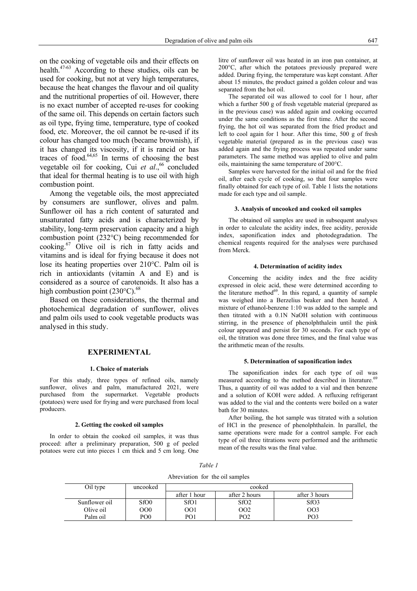on the cooking of vegetable oils and their effects on health.<sup>47-63</sup> According to these studies, oils can be used for cooking, but not at very high temperatures, because the heat changes the flavour and oil quality and the nutritional properties of oil. However, there is no exact number of accepted re-uses for cooking of the same oil. This depends on certain factors such as oil type, frying time, temperature, type of cooked food, etc. Moreover, the oil cannot be re-used if its colour has changed too much (became brownish), if it has changed its viscosity, if it is rancid or has traces of food. $64,65$  In terms of choosing the best vegetable oil for cooking, Cui *et al.*<sup>66</sup> concluded that ideal for thermal heating is to use oil with high combustion point.

Among the vegetable oils, the most appreciated by consumers are sunflower, olives and palm. Sunflower oil has a rich content of saturated and unsaturated fatty acids and is characterized by stability, long-term preservation capacity and a high combustion point (232°C) being recommended for cooking.67 Olive oil is rich in fatty acids and vitamins and is ideal for frying because it does not lose its heating properties over 210°C. Palm oil is rich in antioxidants (vitamin A and E) and is considered as a source of carotenoids. It also has a high combustion point  $(230^{\circ}C)^{68}$ 

Based on these considerations, the thermal and photochemical degradation of sunflower, olives and palm oils used to cook vegetable products was analysed in this study.

## **EXPERIMENTAL**

## **1. Choice of materials**

For this study, three types of refined oils, namely sunflower, olives and palm, manufactured 2021, were purchased from the supermarket. Vegetable products (potatoes) were used for frying and were purchased from local producers.

#### **2. Getting the cooked oil samples**

In order to obtain the cooked oil samples, it was thus proceed: after a preliminary preparation, 500 g of peeled potatoes were cut into pieces 1 cm thick and 5 cm long. One

litre of sunflower oil was heated in an iron pan container, at 200°C, after which the potatoes previously prepared were added. During frying, the temperature was kept constant. After about 15 minutes, the product gained a golden colour and was separated from the hot oil.

The separated oil was allowed to cool for 1 hour, after which a further 500 g of fresh vegetable material (prepared as in the previous case) was added again and cooking occurred under the same conditions as the first time. After the second frying, the hot oil was separated from the fried product and left to cool again for 1 hour. After this time, 500 g of fresh vegetable material (prepared as in the previous case) was added again and the frying process was repeated under same parameters. The same method was applied to olive and palm oils, maintaining the same temperature of 200°C.

Samples were harvested for the initial oil and for the fried oil, after each cycle of cooking, so that four samples were finally obtained for each type of oil. Table 1 lists the notations made for each type and oil sample.

#### **3. Analysis of uncooked and cooked oil samples**

The obtained oil samples are used in subsequent analyses in order to calculate the acidity index, free acidity, peroxide index, saponification index and photodegradation. The chemical reagents required for the analyses were purchased from Merck.

#### **4. Determination of acidity index**

Concerning the acidity index and the free acidity expressed in oleic acid, these were determined according to the literature method $69$ . In this regard, a quantity of sample was weighed into a Berzelius beaker and then heated. A mixture of ethanol-benzene 1:10 was added to the sample and then titrated with a 0.1N NaOH solution with continuous stirring, in the presence of phenolphthalein until the pink colour appeared and persist for 30 seconds. For each type of oil, the titration was done three times, and the final value was the arithmetic mean of the results.

#### **5. Determination of saponification index**

The saponification index for each type of oil was measured according to the method described in literature.<sup>69</sup> Thus, a quantity of oil was added to a vial and then benzene and a solution of KOH were added. A refluxing refrigerant was added to the vial and the contents were boiled on a water bath for 30 minutes.

After boiling, the hot sample was titrated with a solution of HCl in the presence of phenolphthalein. In parallel, the same operations were made for a control sample. For each type of oil three titrations were performed and the arithmetic mean of the results was the final value.

*Table 1*

| Abreviation for the oil samples |  |  |  |
|---------------------------------|--|--|--|
|---------------------------------|--|--|--|

| Oil type      | uncooked        | cooked       |                  |                  |
|---------------|-----------------|--------------|------------------|------------------|
|               |                 | after 1 hour | after 2 hours    | after 3 hours    |
| Sunflower oil | SfO0            | SfO1         | SfO <sub>2</sub> | SfO <sub>3</sub> |
| Olive oil     | OO0             | OO1          | OO2              | 003              |
| Palm oil      | PO <sub>0</sub> | PO1          | PO <sub>2</sub>  | PO <sub>3</sub>  |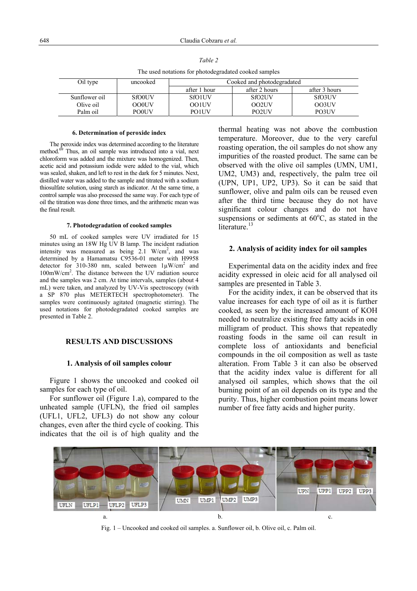| The asea holations for photoacgraduced cooled sumpres |               |                            |                     |               |
|-------------------------------------------------------|---------------|----------------------------|---------------------|---------------|
| Oil type                                              | uncooked      | Cooked and photodegradated |                     |               |
|                                                       |               | after 1 hour               | after 2 hours       | after 3 hours |
| Sunflower oil                                         | <b>SfO0UV</b> | <b>SfO1UV</b>              | SfO <sub>2</sub> UV | <b>SfO3UV</b> |
| Olive oil                                             | <b>OO0UV</b>  | <b>OO1UV</b>               | OO2UV               | OO3UV         |
| Palm oil                                              | <b>POOUV</b>  | <b>PO1UV</b>               | PO <sub>2</sub> UV  | PO3UV         |

The used notations for photodegradated cooked samples

## **6. Determination of peroxide index**

The peroxide index was determined according to the literature method.<sup>69</sup> Thus, an oil sample was introduced into a vial, next chloroform was added and the mixture was homogenized. Then, acetic acid and potassium iodide were added to the vial, which was sealed, shaken, and left to rest in the dark for 5 minutes. Next, distilled water was added to the sample and titrated with a sodium thiosulfate solution, using starch as indicator. At the same time, a control sample was also processed the same way. For each type of oil the titration was done three times, and the arithmetic mean was the final result.

## **7. Photodegradation of cooked samples**

50 mL of cooked samples were UV irradiated for 15 minutes using an 18W Hg UV B lamp. The incident radiation intensity was measured as being  $2.1$  W/cm<sup>2</sup>, and was determined by a Hamamatsu C9536-01 meter with H9958 detector for 310-380 nm, scaled between  $1\mu$ W/cm<sup>2</sup> and 100mW/cm2 . The distance between the UV radiation source and the samples was 2 cm. At time intervals, samples (about 4 mL) were taken, and analyzed by UV-Vis spectroscopy (with a SP 870 plus METERTECH spectrophotometer). The samples were continuously agitated (magnetic stirring). The used notations for photodegradated cooked samples are presented in Table 2.

# **RESULTS AND DISCUSSIONS**

## **1. Analysis of oil samples colour**

 Figure 1 shows the uncooked and cooked oil samples for each type of oil.

For sunflower oil (Figure 1.a), compared to the unheated sample (UFLN), the fried oil samples (UFL1, UFL2, UFL3) do not show any colour changes, even after the third cycle of cooking. This indicates that the oil is of high quality and the

thermal heating was not above the combustion temperature. Moreover, due to the very careful roasting operation, the oil samples do not show any impurities of the roasted product. The same can be observed with the olive oil samples (UMN, UM1, UM2, UM3) and, respectively, the palm tree oil (UPN, UP1, UP2, UP3). So it can be said that sunflower, olive and palm oils can be reused even after the third time because they do not have significant colour changes and do not have suspensions or sediments at  $60^{\circ}$ C, as stated in the literature.<sup>13</sup>

## **2. Analysis of acidity index for oil samples**

 Experimental data on the acidity index and free acidity expressed in oleic acid for all analysed oil samples are presented in Table 3.

For the acidity index, it can be observed that its value increases for each type of oil as it is further cooked, as seen by the increased amount of KOH needed to neutralize existing free fatty acids in one milligram of product. This shows that repeatedly roasting foods in the same oil can result in complete loss of antioxidants and beneficial compounds in the oil composition as well as taste alteration. From Table 3 it can also be observed that the acidity index value is different for all analysed oil samples, which shows that the oil burning point of an oil depends on its type and the purity. Thus, higher combustion point means lower number of free fatty acids and higher purity.



Fig. 1 – Uncooked and cooked oil samples. a. Sunflower oil, b. Olive oil, c. Palm oil.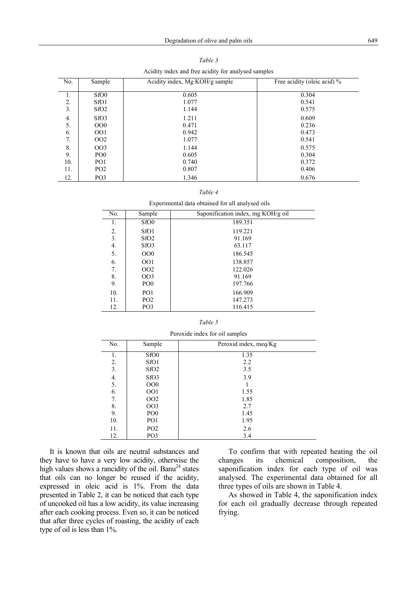| Acidity index and free acidity for analysed samples |                  |                                |                             |  |
|-----------------------------------------------------|------------------|--------------------------------|-----------------------------|--|
| No.                                                 | Sample           | Acidity index, Mg KOH/g sample | Free acidity (oleic acid) % |  |
|                                                     |                  |                                |                             |  |
| 1.                                                  | SfO <sub>0</sub> | 0.605                          | 0.304                       |  |
| 2.                                                  | SfO <sub>1</sub> | 1.077                          | 0.541                       |  |
| 3.                                                  | SfO <sub>2</sub> | 1.144                          | 0.575                       |  |
| 4.                                                  | SfO <sub>3</sub> | 1.211                          | 0.609                       |  |
| 5.                                                  | OOO              | 0.471                          | 0.236                       |  |
| 6.                                                  | OO1              | 0.942                          | 0.473                       |  |
| 7.                                                  | OO <sub>2</sub>  | 1.077                          | 0.541                       |  |
| 8.                                                  | OO <sub>3</sub>  | 1.144                          | 0.575                       |  |
| 9.                                                  | PO <sub>0</sub>  | 0.605                          | 0.304                       |  |
| 10.                                                 | PO <sub>1</sub>  | 0.740                          | 0.372                       |  |
| 11.                                                 | PO <sub>2</sub>  | 0.807                          | 0.406                       |  |
| 12.                                                 | PO <sub>3</sub>  | 1.346                          | 0.676                       |  |

Acidity index and free acidity for analysed samples

|--|--|

Experimental data obtained for all analysed oils

| No. | Sample           | Saponification index, mg KOH/g oil |
|-----|------------------|------------------------------------|
| 1.  | SfO <sub>0</sub> | 189.351                            |
| 2.  | SfO <sub>1</sub> | 119.221                            |
| 3.  | SfO <sub>2</sub> | 91.169                             |
| 4.  | SfO <sub>3</sub> | 63.117                             |
| 5.  | OOO              | 186.545                            |
| 6.  | 001              | 138.857                            |
| 7.  | OO <sub>2</sub>  | 122.026                            |
| 8.  | OO <sub>3</sub>  | 91.169                             |
| 9.  | PO <sub>0</sub>  | 197.766                            |
| 10. | PO <sub>1</sub>  | 166.909                            |
| 11. | PO <sub>2</sub>  | 147.273                            |
| 12. | PO <sub>3</sub>  | 116.415                            |

#### *Table 5*

| Peroxide index for oil samples |                  |                       |  |
|--------------------------------|------------------|-----------------------|--|
| No.                            | Sample           | Peroxid index, meq/Kg |  |
| 1.                             | SfO <sub>0</sub> | 1.35                  |  |
| 2.                             | SfO <sub>1</sub> | 2.2                   |  |
| 3.                             | SfO <sub>2</sub> | 3.5                   |  |
| 4.                             | SfO <sub>3</sub> | 3.9                   |  |
| 5.                             | OOO              |                       |  |
| 6.                             | OO1              | 1.55                  |  |
| 7.                             | OO <sub>2</sub>  | 1.85                  |  |
| 8.                             | <b>OO3</b>       | 2.7                   |  |
| 9.                             | PO <sub>0</sub>  | 1.45                  |  |
| 10.                            | PO <sub>1</sub>  | 1.95                  |  |
| 11.                            | PO <sub>2</sub>  | 2.6                   |  |
| 12.                            | PO <sub>3</sub>  | 3.4                   |  |

It is known that oils are neutral substances and they have to have a very low acidity, otherwise the high values shows a rancidity of the oil. Banu<sup>24</sup> states that oils can no longer be reused if the acidity, expressed in oleic acid is 1%. From the data presented in Table 2, it can be noticed that each type of uncooked oil has a low acidity, its value increasing after each cooking process. Even so, it can be noticed that after three cycles of roasting, the acidity of each type of oil is less than 1%.

 To confirm that with repeated heating the oil changes its chemical composition, the saponification index for each type of oil was analysed. The experimental data obtained for all three types of oils are shown in Table 4.

 As showed in Table 4, the saponification index for each oil gradually decrease through repeated frying.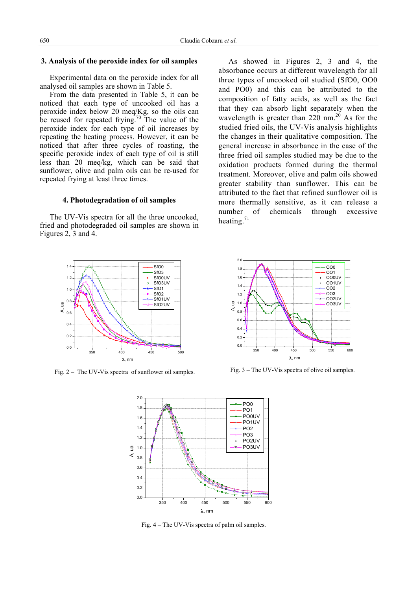## **3. Analysis of the peroxide index for oil samples**

 Experimental data on the peroxide index for all analysed oil samples are shown in Table 5.

From the data presented in Table 5, it can be noticed that each type of uncooked oil has a peroxide index below 20 meq/Kg, so the oils can be reused for repeated frying.<sup>70</sup> The value of the peroxide index for each type of oil increases by repeating the heating process. However, it can be noticed that after three cycles of roasting, the specific peroxide index of each type of oil is still less than 20 meq/kg, which can be said that sunflower, olive and palm oils can be re-used for repeated frying at least three times.

## **4. Photodegradation of oil samples**

The UV-Vis spectra for all the three uncooked, fried and photodegraded oil samples are shown in Figures 2, 3 and 4.



Fig. 2 – The UV-Vis spectra of sunflower oil samples.

As showed in Figures 2, 3 and 4, the absorbance occurs at different wavelength for all three types of uncooked oil studied (SfO0, OO0 and PO0) and this can be attributed to the composition of fatty acids, as well as the fact that they can absorb light separately when the wavelength is greater than  $220 \text{ nm}^{20}$ . As for the studied fried oils, the UV-Vis analysis highlights the changes in their qualitative composition. The general increase in absorbance in the case of the three fried oil samples studied may be due to the oxidation products formed during the thermal treatment. Moreover, olive and palm oils showed greater stability than sunflower. This can be attributed to the fact that refined sunflower oil is more thermally sensitive, as it can release a number of chemicals through excessive heating.<sup>71</sup>



Fig. 3 – The UV-Vis spectra of olive oil samples.



Fig. 4 – The UV-Vis spectra of palm oil samples.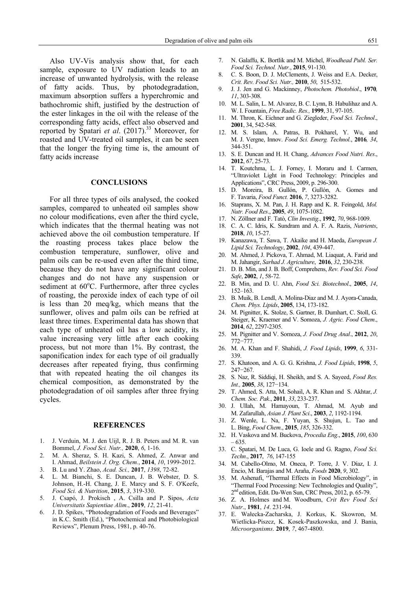Also UV-Vis analysis show that, for each sample, exposure to UV radiation leads to an increase of unwanted hydrolysis, with the release of fatty acids. Thus, by photodegradation, maximum absorption suffers a hyperchromic and bathochromic shift, justified by the destruction of the ester linkages in the oil with the release of the corresponding fatty acids, effect also observed and reported by Spatari *et al*. (2017).33 Moreover, for roasted and UV-treated oil samples, it can be seen that the longer the frying time is, the amount of fatty acids increase

# **CONCLUSIONS**

For all three types of oils analysed, the cooked samples, compared to unheated oil samples show no colour modifications, even after the third cycle, which indicates that the thermal heating was not achieved above the oil combustion temperature. If the roasting process takes place below the combustion temperature, sunflower, olive and palm oils can be re-used even after the third time, because they do not have any significant colour changes and do not have any suspension or sediment at 60°C. Furthermore, after three cycles of roasting, the peroxide index of each type of oil is less than 20 meq/kg, which means that the sunflower, olives and palm oils can be refried at least three times. Experimental data has shown that each type of unheated oil has a low acidity, its value increasing very little after each cooking process, but not more than 1%. By contrast, the saponification index for each type of oil gradually decreases after repeated frying, thus confirming that with repeated heating the oil changes its chemical composition, as demonstrated by the photodegradation of oil samples after three frying cycles.

### **REFERENCES**

- 1. J. Verduin, M. J. den Uijl, R. J. B. Peters and M. R. van Bommel, *J. Food Sci. Nutr.,* **2020**, *6*, 1-16.
- 2. M. A. Sheraz, S. H. Kazi, S. Ahmed, Z. Anwar and I. Ahmad, *Beilstein J. Org. Chem.*, **2014**, *10*, 1999-2012.
- 3. B. Lu and Y. Zhao, *Acad. Sci.,* **2017**, *1398*, 72-82.
- 4. L. M. Bianchi, S. E. Duncan, J. B. Webster, D. S. Johnson, H.-H. Chang, J. E. Marcy and S. F. O'Keefe, *Food Sci. & Nutrition*, **2015**, *3*, 319-330.
- 5. J. Csapó, J. Prokisch , A. Csilla and P. Sipos, *Acta Universitatis Sapientiae Alim*., **2019**, *12*, 21-41.
- 6. J. D. Spikes, "Photodegradation of Foods and Beverages" in K.C. Smith (Ed.), "Photochemical and Photobiological Reviews", Plenum Press, 1981, p. 40-76.
- 7. N. Galaffu, K. Bortlik and M. Michel, *Woodhead Publ. Ser. Food Sci. Technol. Nutr.*, **2015**, 91-130.
- 8. C. S. Boon, D. J. McClements, J. Weiss and E.A. Decker, *Crit. Rev. Food Sci. Nutr.,* **2010**, *50*, 515-532.
- 9. J. J. Jen and G. Mackinney, *Photochem. Photobiol*., **1970***, 11*, 303-308.
- 10. M. L. Salin, L. M. Alvarez, B. C. Lynn, B. Habulihaz and A. W. I. Fountain, *Free Radic. Res.,* **1999**, 31, 97-105.
- 11. M. Thron, K. Eichner and G. Ziegleder, *Food Sci. Technol*., **2001**, 34, 542-548.
- 12. M. S. Islam, A. Patras, B. Pokharel, Y. Wu, and M. J. Vergne, Innov. *Food Sci. Emerg. Technol.*, **2016***, 34*, 344-351.
- 13. S. E. Duncan and H. H. Chang, *Advances Food Nutri. Res*., **2012**, *67*, 25-73.
- 14. T. Koutchma, L. J. Forney, I. Moraru and I. Carmen, "Ultraviolet Light in Food Technology: Principles and Applications", CRC Press, 2009, p. 296-300.
- 15. D. Moreira, B. Gullón, P. Gullón, A. Gomes and F. Tavaria, *Food Funct.* **2016**, *7*, 3273-3282.
- 16. Staprans, X. M. Pan, J. H. Rapp and K. R. Feingold, *Mol. Nutr. Food Res*., **2005**, *49*, 1075-1082.
- 17. N. Zöllner and F. Tatò, *Clin Investig*., **1992**, *70*, 968-1009.
- 18. C. A. C. Idris, K. Sundram and A. F. A. Razis, *Nutrients*, **2018**, *10*, 15-27.
- 19. Kanazawa, T. Sawa, T. Akaike and H. Maeda, *European J. Lipid Sci. Technology*, **2002**, *104*, 439-447.
- 20. M. Ahmed, J. Pickova, T. Ahmad, M. Liaquat, A. Farid and M. Jahangir, *Sarhad J. Agriculture*, **2016**, *32*, 230-238.
- 21. D. B. Min, and J. B. Boff, Comprehens, *Rev. Food Sci. Food Safe*, **2002**, *1*, 58-72.
- 22. B. Min, and D. U. Ahn, *Food Sci. Biotechnol*., **2005**, *14*, 152–163.
- 23. B. Muik, B. Lendl, A. Molina-Diaz and M. J. Ayora-Canada, *Chem. Phys. Lipids*, **2005**, 134, 173-182.
- 24. M. Pignitter, K. Stolze, S. Gartner, B. Dumhart, C. Stoll, G. Steiger, K. Kraemer and V. Somoza, *J. Agric. Food Chem*., **2014**, *62*, 2297-2305.
- 25. M. Pignitter and V. Somoza, *J. Food Drug Anal*., **2012**, *20*, 772−777.
- 26. M. A. Khan and F. Shahidi, *J. Food Lipids*, **1999**, *6*, 331- 339.
- 27. S. Khatoon, and A. G. G. Krishna, *J. Food Lipids*, **1998**, *5*, 247−267.
- 28. S. Naz, R. Siddiqi, H. Sheikh, and S. A. Sayeed, *Food Res. Int.,* **2005**, *38*, 127−134.
- 29. T. Ahmed, S. Atta, M. Sohail, A. R. Khan and S. Akhtar, *J. Chem. Soc. Pak*., **2011**, *33*, 233-237.
- 30. J. Ullah, M. Hamayoun, T. Ahmad, M. Ayub and M. Zafarullah, *Asian J. Plant Sci*., **2003**, *2*, 1192-1194.
- 31. Z. Wenle, L. Na, F. Yuyan, S. Shujun, L. Tao and L. Bing, *Food Chem*., **2015**, *185*, 326-332.
- 32. H. Vaskova and M. Buckova, *Procedia Eng*., **2015**, *100*, 630  $-635.$
- 33. C. Spatari, M. De Luca, G. Ioele and G. Ragno, *Food Sci. Techn*., **2017**, *76*, 147-155
- 34. M. Cabello-Olmo, M. Oneca, P. Torre, J. V. Díaz, I. J. Encio, M. Barajas and M. Araña, *Foods* **2020**, *9*, 302.
- 35. M. Ashenafi, "Thermal Effects in Food Microbiology", in "Thermal Food Processing: New Technologies and Quality", 2<sup>nd</sup> edition, Edit. Da-Wen Sun, CRC Press, 2012, p. 65-79.
- 36. Z. A. Holmes and M. Woodburn, *Crit Rev Food Sci Nutr*., **1981**, *14*. 231-94.
- 37. E. Wałecka-Zacharska, J. Korkus, K. Skowron, M. Wietlicka-Piszcz, K. Kosek-Paszkowska, and J. Bania, *Microorganisms*. **2019**, *7*, 467-4800.